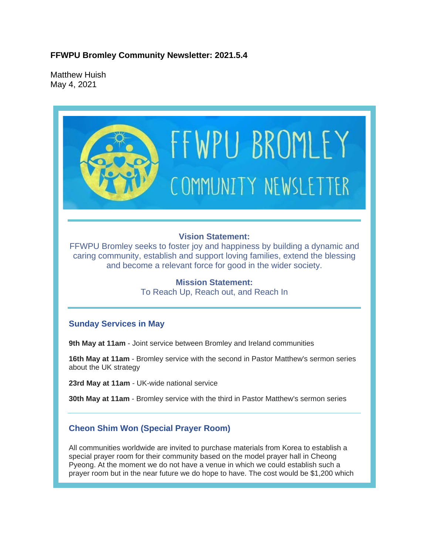### **FFWPU Bromley Community Newsletter: 2021.5.4**

Matthew Huish May 4, 2021

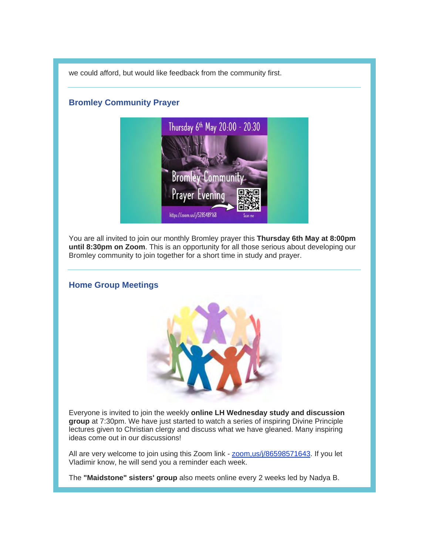we could afford, but would like feedback from the community first.

#### **Bromley Community Prayer**



You are all invited to join our monthly Bromley prayer this **Thursday 6th May at 8:00pm until 8:30pm on Zoom**. This is an opportunity for all those serious about developing our Bromley community to join together for a short time in study and prayer.

# **Home Group Meetings**



Everyone is invited to join the weekly **online LH Wednesday study and discussion group** at 7:30pm. We have just started to watch a series of inspiring Divine Principle lectures given to Christian clergy and discuss what we have gleaned. Many inspiring ideas come out in our discussions!

All are very welcome to join using this Zoom link - zoom, us/j/86598571643. If you let Vladimir know, he will send you a reminder each week.

The **"Maidstone" sisters' group** also meets online every 2 weeks led by Nadya B.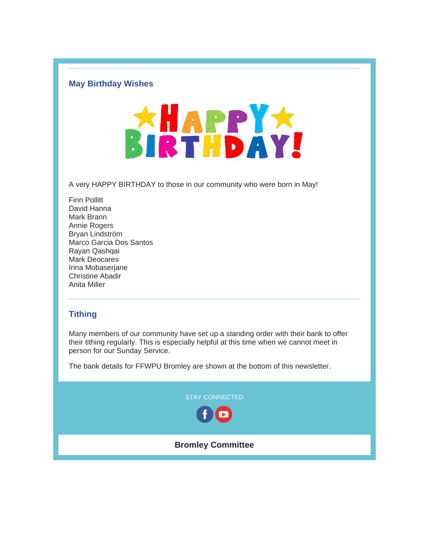#### **May Birthday Wishes**



A very HAPPY BIRTHDAY to those in our community who were born in May!

Finn Pollitt David Hanna Mark Brann Annie Rogers Bryan Lindström Marco Garcia Dos Santos Rayan Qashqai Mark Deocares Irina Mobaserjane Christine Abadir Anita Miller

### **Tithing**

Many members of our community have set up a standing order with their bank to offer their tithing regularly. This is especially helpful at this time when we cannot meet in person for our Sunday Service.

The bank details for FFWPU Bromley are shown at the bottom of this newsletter.

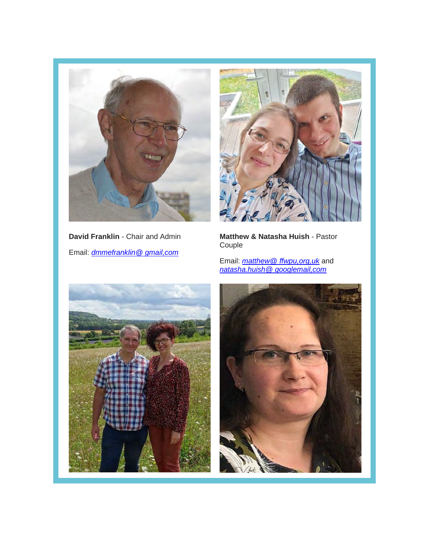

**David Franklin** - Chair and Admin Email: *dmmefranklin@ gmail,com*



**Matthew & Natasha Huish** - Pastor Couple

Email: *matthew@ ffwpu,org,uk* and *natasha.huish@ googlemail,com*